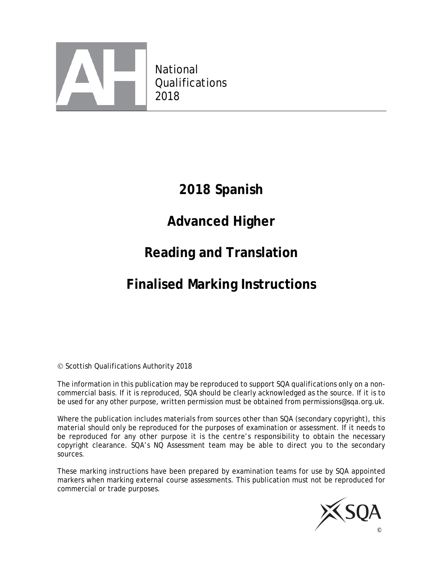

 National **Qualifications** 2018

# **2018 Spanish**

# **Advanced Higher**

# **Reading and Translation**

# **Finalised Marking Instructions**

Scottish Qualifications Authority 2018

The information in this publication may be reproduced to support SQA qualifications only on a noncommercial basis. If it is reproduced, SQA should be clearly acknowledged as the source. If it is to be used for any other purpose, written permission must be obtained from permissions@sqa.org.uk.

Where the publication includes materials from sources other than SQA (secondary copyright), this material should only be reproduced for the purposes of examination or assessment. If it needs to be reproduced for any other purpose it is the centre's responsibility to obtain the necessary copyright clearance. SQA's NQ Assessment team may be able to direct you to the secondary sources.

These marking instructions have been prepared by examination teams for use by SQA appointed markers when marking external course assessments. This publication must not be reproduced for commercial or trade purposes.

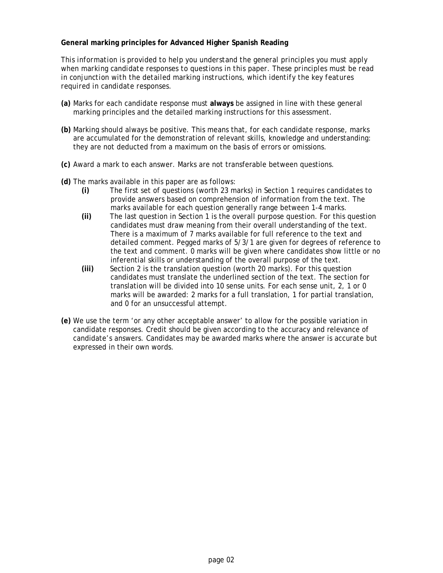#### **General marking principles for Advanced Higher Spanish Reading**

*This information is provided to help you understand the general principles you must apply when marking candidate responses to questions in this paper. These principles must be read in conjunction with the detailed marking instructions, which identify the key features required in candidate responses.* 

- **(a)** Marks for each candidate response must **always** be assigned in line with these general marking principles and the detailed marking instructions for this assessment.
- **(b)** Marking should always be positive. This means that, for each candidate response, marks are accumulated for the demonstration of relevant skills, knowledge and understanding: they are not deducted from a maximum on the basis of errors or omissions.
- **(c)** Award a mark to each answer. Marks are not transferable between questions.
- **(d)** The marks available in this paper are as follows:
	- **(i)** The first set of questions (worth 23 marks) in Section 1 requires candidates to provide answers based on comprehension of information from the text. The marks available for each question generally range between 1-4 marks.
	- **(ii)** The last question in Section 1 is the overall purpose question. For this question candidates must draw meaning from their overall understanding of the text. There is a maximum of 7 marks available for full reference to the text and detailed comment. Pegged marks of 5/3/1 are given for degrees of reference to the text and comment. 0 marks will be given where candidates show little or no inferential skills or understanding of the overall purpose of the text.
	- **(iii)** Section 2 is the translation question (worth 20 marks). For this question candidates must translate the underlined section of the text. The section for translation will be divided into 10 sense units. For each sense unit, 2, 1 or 0 marks will be awarded: 2 marks for a full translation, 1 for partial translation, and 0 for an unsuccessful attempt.
- **(e)** We use the term 'or any other acceptable answer' to allow for the possible variation in candidate responses. Credit should be given according to the accuracy and relevance of candidate's answers. Candidates may be awarded marks where the answer is accurate but expressed in their own words.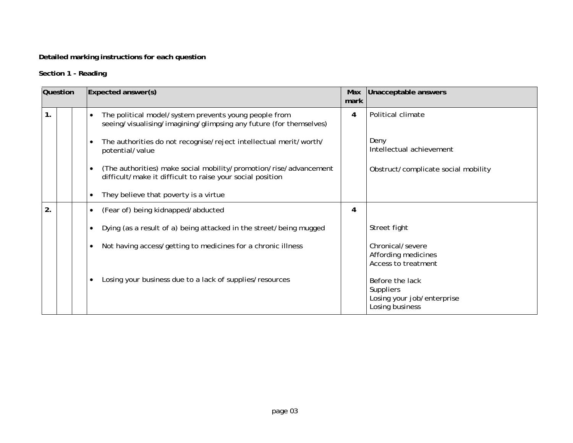## **Detailed marking instructions for each question**

## **Section 1 - Reading**

| Question      |  | Expected answer(s)                                                                                                             | Max<br>mark | Unacceptable answers                                                                 |
|---------------|--|--------------------------------------------------------------------------------------------------------------------------------|-------------|--------------------------------------------------------------------------------------|
| $\mathbf 1$ . |  | The political model/system prevents young people from<br>seeing/visualising/imagining/glimpsing any future (for themselves)    | 4           | Political climate                                                                    |
|               |  | The authorities do not recognise/reject intellectual merit/worth/<br>potential/value                                           |             | Deny<br>Intellectual achievement                                                     |
|               |  | (The authorities) make social mobility/promotion/rise/advancement<br>difficult/make it difficult to raise your social position |             | Obstruct/complicate social mobility                                                  |
|               |  | They believe that poverty is a virtue                                                                                          |             |                                                                                      |
| 2.            |  | (Fear of) being kidnapped/abducted<br>$\bullet$                                                                                | 4           |                                                                                      |
|               |  | Dying (as a result of a) being attacked in the street/being mugged                                                             |             | Street fight                                                                         |
|               |  | Not having access/getting to medicines for a chronic illness<br>$\bullet$                                                      |             | Chronical/severe<br>Affording medicines<br>Access to treatment                       |
|               |  | Losing your business due to a lack of supplies/resources                                                                       |             | Before the lack<br><b>Suppliers</b><br>Losing your job/enterprise<br>Losing business |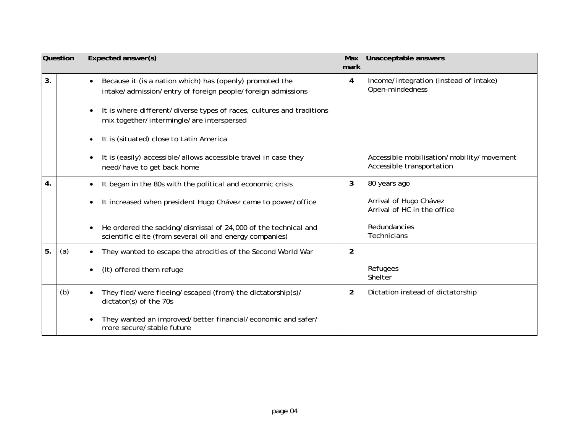|    | <b>Question</b> | Expected answer(s)                                                                                                                       | Max<br>mark    | Unacceptable answers                                                   |
|----|-----------------|------------------------------------------------------------------------------------------------------------------------------------------|----------------|------------------------------------------------------------------------|
| 3. |                 | Because it (is a nation which) has (openly) promoted the<br>$\bullet$<br>intake/admission/entry of foreign people/foreign admissions     | 4              | Income/integration (instead of intake)<br>Open-mindedness              |
|    |                 | It is where different/diverse types of races, cultures and traditions<br>$\bullet$<br>mix together/intermingle/are interspersed          |                |                                                                        |
|    |                 | It is (situated) close to Latin America<br>$\bullet$                                                                                     |                |                                                                        |
|    |                 | It is (easily) accessible/allows accessible travel in case they<br>$\bullet$<br>need/have to get back home                               |                | Accessible mobilisation/mobility/movement<br>Accessible transportation |
| 4. |                 | It began in the 80s with the political and economic crisis<br>$\bullet$                                                                  | $\mathbf{3}$   | 80 years ago                                                           |
|    |                 | It increased when president Hugo Chávez came to power/office<br>$\bullet$                                                                |                | Arrival of Hugo Chávez<br>Arrival of HC in the office                  |
|    |                 | He ordered the sacking/dismissal of 24,000 of the technical and<br>$\bullet$<br>scientific elite (from several oil and energy companies) |                | Redundancies<br><b>Technicians</b>                                     |
| 5. | (a)             | They wanted to escape the atrocities of the Second World War<br>$\bullet$                                                                | $\overline{2}$ |                                                                        |
|    |                 | (It) offered them refuge<br>$\bullet$                                                                                                    |                | Refugees<br>Shelter                                                    |
|    | (b)             | They fled/were fleeing/escaped (from) the dictatorship(s)/<br>dictator(s) of the 70s                                                     | $\overline{2}$ | Dictation instead of dictatorship                                      |
|    |                 | They wanted an improved/better financial/economic and safer/<br>$\bullet$<br>more secure/stable future                                   |                |                                                                        |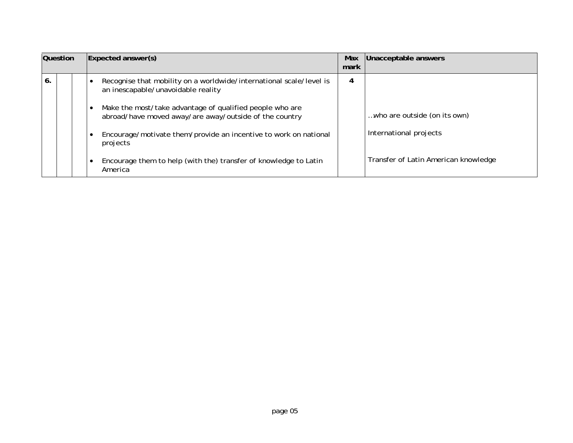| Question |  | $\mathsf{Expected}$ answer $\mathsf{(s)}$ | Max<br>mark                                                                                                        | Unacceptable answers |                                      |
|----------|--|-------------------------------------------|--------------------------------------------------------------------------------------------------------------------|----------------------|--------------------------------------|
| 6.       |  |                                           | Recognise that mobility on a worldwide/international scale/level is<br>an inescapable/unavoidable reality          | 4                    |                                      |
|          |  |                                           | Make the most/take advantage of qualified people who are<br>abroad/have moved away/are away/outside of the country |                      | who are outside (on its own)         |
|          |  |                                           | Encourage/motivate them/provide an incentive to work on national<br>projects                                       |                      | International projects               |
|          |  |                                           | Encourage them to help (with the) transfer of knowledge to Latin<br>America                                        |                      | Transfer of Latin American knowledge |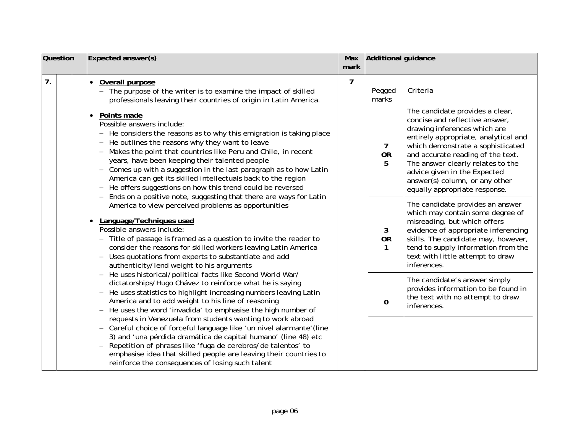| <b>Question</b> | Expected answer(s)                                                                                                                                                                                                                                                                                                                                                                                                                                                                                                                                                                                                                                                                  | Max<br>mark | Additional guidance            |                                                                                                                                                                                                                                                                                                                                                             |
|-----------------|-------------------------------------------------------------------------------------------------------------------------------------------------------------------------------------------------------------------------------------------------------------------------------------------------------------------------------------------------------------------------------------------------------------------------------------------------------------------------------------------------------------------------------------------------------------------------------------------------------------------------------------------------------------------------------------|-------------|--------------------------------|-------------------------------------------------------------------------------------------------------------------------------------------------------------------------------------------------------------------------------------------------------------------------------------------------------------------------------------------------------------|
| 7.              | Overall purpose<br>$\bullet$<br>- The purpose of the writer is to examine the impact of skilled<br>professionals leaving their countries of origin in Latin America.                                                                                                                                                                                                                                                                                                                                                                                                                                                                                                                | 7           | Pegged<br>marks                | Criteria                                                                                                                                                                                                                                                                                                                                                    |
|                 | Points made<br>$\bullet$<br>Possible answers include:<br>- He considers the reasons as to why this emigration is taking place<br>- He outlines the reasons why they want to leave<br>- Makes the point that countries like Peru and Chile, in recent<br>years, have been keeping their talented people<br>- Comes up with a suggestion in the last paragraph as to how Latin<br>America can get its skilled intellectuals back to the region<br>- He offers suggestions on how this trend could be reversed<br>Ends on a positive note, suggesting that there are ways for Latin                                                                                                    |             | $\mathbf{7}$<br><b>OR</b><br>5 | The candidate provides a clear,<br>concise and reflective answer,<br>drawing inferences which are<br>entirely appropriate, analytical and<br>which demonstrate a sophisticated<br>and accurate reading of the text.<br>The answer clearly relates to the<br>advice given in the Expected<br>answer(s) column, or any other<br>equally appropriate response. |
|                 | America to view perceived problems as opportunities<br>Language/Techniques used<br>Possible answers include:<br>- Title of passage is framed as a question to invite the reader to<br>consider the reasons for skilled workers leaving Latin America<br>- Uses quotations from experts to substantiate and add<br>authenticity/lend weight to his arguments<br>- He uses historical/political facts like Second World War/<br>dictatorships/Hugo Chávez to reinforce what he is saying<br>- He uses statistics to highlight increasing numbers leaving Latin<br>America and to add weight to his line of reasoning<br>- He uses the word 'invadida' to emphasise the high number of |             | 3<br><b>OR</b><br>$\mathbf{1}$ | The candidate provides an answer<br>which may contain some degree of<br>misreading, but which offers<br>evidence of appropriate inferencing<br>skills. The candidate may, however,<br>tend to supply information from the<br>text with little attempt to draw<br>inferences.                                                                                |
|                 |                                                                                                                                                                                                                                                                                                                                                                                                                                                                                                                                                                                                                                                                                     |             | 0                              | The candidate's answer simply<br>provides information to be found in<br>the text with no attempt to draw<br>inferences.                                                                                                                                                                                                                                     |
|                 | requests in Venezuela from students wanting to work abroad<br>- Careful choice of forceful language like 'un nivel alarmante' (line<br>3) and 'una pérdida dramática de capital humano' (line 48) etc<br>- Repetition of phrases like 'fuga de cerebros/de talentos' to<br>emphasise idea that skilled people are leaving their countries to<br>reinforce the consequences of losing such talent                                                                                                                                                                                                                                                                                    |             |                                |                                                                                                                                                                                                                                                                                                                                                             |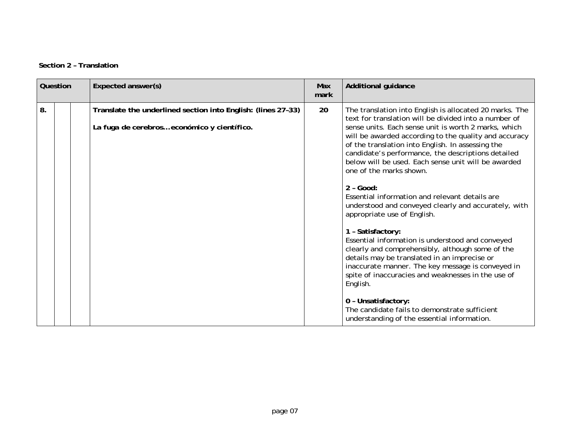| Question | Expected answer(s)                                                                                          | <b>Max</b><br>mark | <b>Additional guidance</b>                                                                                                                                                                                                                                                                                                                                                                                                                                                                                                                                                                                                                                                                                                                                                                                                                                                                                                                                                                                        |
|----------|-------------------------------------------------------------------------------------------------------------|--------------------|-------------------------------------------------------------------------------------------------------------------------------------------------------------------------------------------------------------------------------------------------------------------------------------------------------------------------------------------------------------------------------------------------------------------------------------------------------------------------------------------------------------------------------------------------------------------------------------------------------------------------------------------------------------------------------------------------------------------------------------------------------------------------------------------------------------------------------------------------------------------------------------------------------------------------------------------------------------------------------------------------------------------|
| 8.       | Translate the underlined section into English: (lines 27-33)<br>La fuga de cerebros económico y científico. | 20                 | The translation into English is allocated 20 marks. The<br>text for translation will be divided into a number of<br>sense units. Each sense unit is worth 2 marks, which<br>will be awarded according to the quality and accuracy<br>of the translation into English. In assessing the<br>candidate's performance, the descriptions detailed<br>below will be used. Each sense unit will be awarded<br>one of the marks shown.<br>$2 - Good:$<br>Essential information and relevant details are<br>understood and conveyed clearly and accurately, with<br>appropriate use of English.<br>1 - Satisfactory:<br>Essential information is understood and conveyed<br>clearly and comprehensibly, although some of the<br>details may be translated in an imprecise or<br>inaccurate manner. The key message is conveyed in<br>spite of inaccuracies and weaknesses in the use of<br>English.<br>0 - Unsatisfactory:<br>The candidate fails to demonstrate sufficient<br>understanding of the essential information. |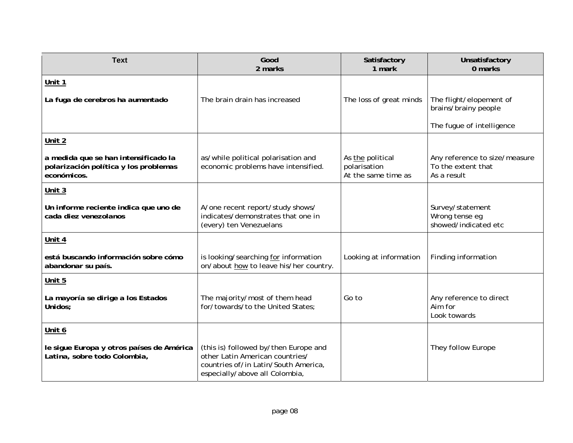| <b>Text</b>                                                                                  | Good<br>2 marks                                                                                                                                    | Satisfactory<br>1 mark                                  | Unsatisfactory<br>0 marks                                          |
|----------------------------------------------------------------------------------------------|----------------------------------------------------------------------------------------------------------------------------------------------------|---------------------------------------------------------|--------------------------------------------------------------------|
| Unit 1                                                                                       |                                                                                                                                                    |                                                         |                                                                    |
| La fuga de cerebros ha aumentado                                                             | The brain drain has increased                                                                                                                      | The loss of great minds                                 | The flight/elopement of<br>brains/brainy people                    |
|                                                                                              |                                                                                                                                                    |                                                         | The fugue of intelligence                                          |
| Unit 2                                                                                       |                                                                                                                                                    |                                                         |                                                                    |
| a medida que se han intensificado la<br>polarización política y los problemas<br>económicos. | as/while political polarisation and<br>economic problems have intensified.                                                                         | As the political<br>polarisation<br>At the same time as | Any reference to size/measure<br>To the extent that<br>As a result |
| Unit $3$                                                                                     |                                                                                                                                                    |                                                         |                                                                    |
| Un informe reciente indica que uno de<br>cada diez venezolanos                               | A/one recent report/study shows/<br>indicates/demonstrates that one in<br>(every) ten Venezuelans                                                  |                                                         | Survey/statement<br>Wrong tense eg<br>showed/indicated etc         |
| Unit 4                                                                                       |                                                                                                                                                    |                                                         |                                                                    |
| está buscando información sobre cómo<br>abandonar su país.                                   | is looking/searching for information<br>on/about how to leave his/her country.                                                                     | Looking at information                                  | Finding information                                                |
| Unit 5                                                                                       |                                                                                                                                                    |                                                         |                                                                    |
| La mayoría se dirige a los Estados<br>Unidos;                                                | The majority/most of them head<br>for/towards/to the United States;                                                                                | Go to                                                   | Any reference to direct<br>Aim for<br>Look towards                 |
| Unit 6                                                                                       |                                                                                                                                                    |                                                         |                                                                    |
| le sigue Europa y otros países de América<br>Latina, sobre todo Colombia,                    | (this is) followed by/then Europe and<br>other Latin American countries/<br>countries of/in Latin/South America,<br>especially/above all Colombia, |                                                         | They follow Europe                                                 |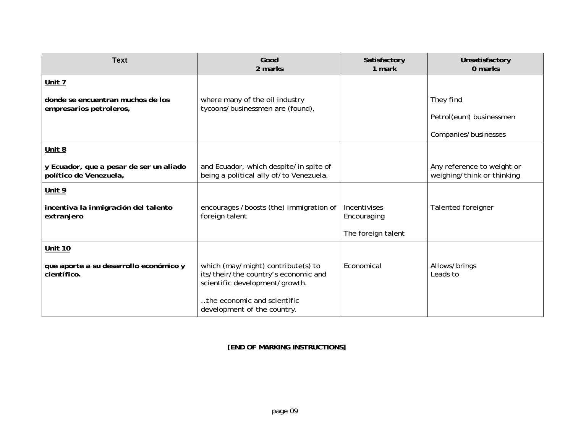| <b>Text</b>                                                       | Good<br>2 marks                                                                                              | Satisfactory<br>1 mark      | Unsatisfactory<br>0 marks                                |
|-------------------------------------------------------------------|--------------------------------------------------------------------------------------------------------------|-----------------------------|----------------------------------------------------------|
| Unit 7                                                            |                                                                                                              |                             |                                                          |
| donde se encuentran muchos de los<br>empresarios petroleros,      | where many of the oil industry<br>tycoons/businessmen are (found),                                           |                             | They find                                                |
|                                                                   |                                                                                                              |                             | Petrol(eum) businessmen                                  |
|                                                                   |                                                                                                              |                             | Companies/businesses                                     |
| Unit 8                                                            |                                                                                                              |                             |                                                          |
| y Ecuador, que a pesar de ser un aliado<br>político de Venezuela, | and Ecuador, which despite/in spite of<br>being a political ally of/to Venezuela,                            |                             | Any reference to weight or<br>weighing/think or thinking |
| Unit 9                                                            |                                                                                                              |                             |                                                          |
| incentiva la inmigración del talento<br>extranjero                | encourages /boosts (the) immigration of<br>foreign talent                                                    | Incentivises<br>Encouraging | <b>Talented foreigner</b>                                |
|                                                                   |                                                                                                              | The foreign talent          |                                                          |
| <b>Unit 10</b>                                                    |                                                                                                              |                             |                                                          |
| que aporte a su desarrollo económico y<br>científico.             | which (may/might) contribute(s) to<br>its/their/the country's economic and<br>scientific development/growth. | Economical                  | Allows/brings<br>Leads to                                |
|                                                                   | the economic and scientific<br>development of the country.                                                   |                             |                                                          |

**[END OF MARKING INSTRUCTIONS]**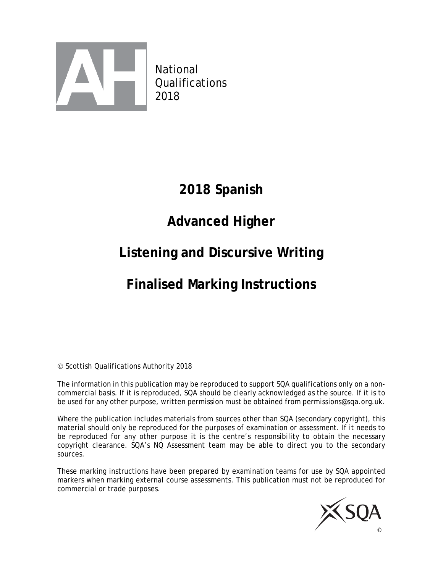

 National **Qualifications** 2018

# **2018 Spanish**

# **Advanced Higher**

# **Listening and Discursive Writing**

# **Finalised Marking Instructions**

Scottish Qualifications Authority 2018

The information in this publication may be reproduced to support SQA qualifications only on a noncommercial basis. If it is reproduced, SQA should be clearly acknowledged as the source. If it is to be used for any other purpose, written permission must be obtained from permissions@sqa.org.uk.

Where the publication includes materials from sources other than SQA (secondary copyright), this material should only be reproduced for the purposes of examination or assessment. If it needs to be reproduced for any other purpose it is the centre's responsibility to obtain the necessary copyright clearance. SQA's NQ Assessment team may be able to direct you to the secondary sources.

These marking instructions have been prepared by examination teams for use by SQA appointed markers when marking external course assessments. This publication must not be reproduced for commercial or trade purposes.

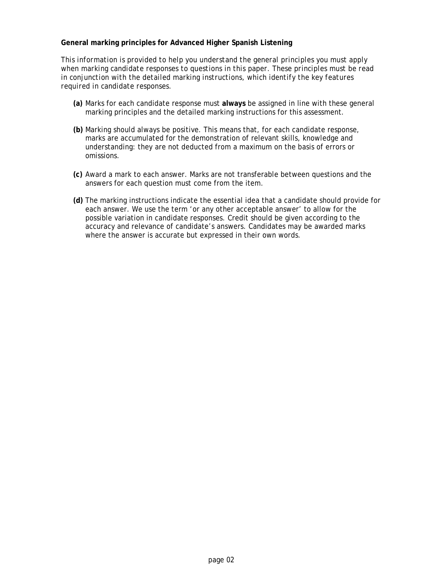#### **General marking principles for Advanced Higher Spanish Listening**

*This information is provided to help you understand the general principles you must apply when marking candidate responses to questions in this paper. These principles must be read in conjunction with the detailed marking instructions, which identify the key features required in candidate responses.* 

- **(a)** Marks for each candidate response must **always** be assigned in line with these general marking principles and the detailed marking instructions for this assessment.
- **(b)** Marking should always be positive. This means that, for each candidate response, marks are accumulated for the demonstration of relevant skills, knowledge and understanding: they are not deducted from a maximum on the basis of errors or omissions.
- **(c)** Award a mark to each answer. Marks are not transferable between questions and the answers for each question must come from the item.
- **(d)** The marking instructions indicate the essential idea that a candidate should provide for each answer. We use the term 'or any other acceptable answer' to allow for the possible variation in candidate responses. Credit should be given according to the accuracy and relevance of candidate's answers. Candidates may be awarded marks where the answer is accurate but expressed in their own words.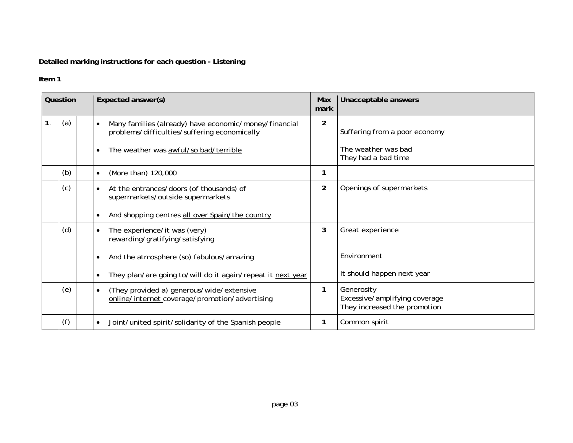## **Detailed marking instructions for each question - Listening**

### **Item 1**

| Question |     |                                                                 | Expected answer(s)                                                                                       |                | Unacceptable answers                                                        |
|----------|-----|-----------------------------------------------------------------|----------------------------------------------------------------------------------------------------------|----------------|-----------------------------------------------------------------------------|
| 1.       | (a) |                                                                 | Many families (already) have economic/money/financial<br>problems/difficulties/suffering economically    | $\overline{2}$ | Suffering from a poor economy                                               |
|          |     |                                                                 | The weather was awful/so bad/terrible<br>$\bullet$                                                       |                | The weather was bad<br>They had a bad time                                  |
|          | (b) |                                                                 | (More than) 120,000<br>$\bullet$                                                                         | 1              |                                                                             |
|          | (c) |                                                                 | At the entrances/doors (of thousands) of<br>supermarkets/outside supermarkets                            | $\overline{2}$ | Openings of supermarkets                                                    |
|          |     |                                                                 | And shopping centres all over Spain/the country<br>$\bullet$                                             |                |                                                                             |
|          | (d) | The experience/it was (very)<br>rewarding/gratifying/satisfying |                                                                                                          | 3              | Great experience                                                            |
|          |     |                                                                 | And the atmosphere (so) fabulous/amazing                                                                 |                | Fnvironment                                                                 |
|          |     |                                                                 | They plan/are going to/will do it again/repeat it next year                                              |                | It should happen next year                                                  |
|          | (e) |                                                                 | (They provided a) generous/wide/extensive<br>$\bullet$<br>online/internet coverage/promotion/advertising | 1              | Generosity<br>Excessive/amplifying coverage<br>They increased the promotion |
|          | (f) |                                                                 | Joint/united spirit/solidarity of the Spanish people                                                     | 1              | Common spirit                                                               |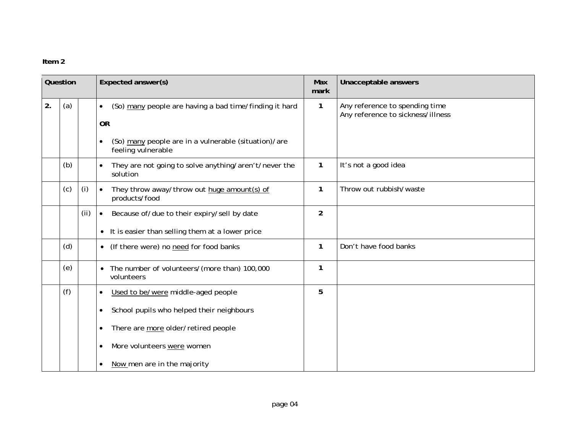### **Item 2**

| Question |     |     | Expected answer(s)                                                                      | Max<br>mark    | Unacceptable answers                                                |
|----------|-----|-----|-----------------------------------------------------------------------------------------|----------------|---------------------------------------------------------------------|
| 2.       | (a) |     | (So) many people are having a bad time/finding it hard<br>$\bullet$<br><b>OR</b>        | 1              | Any reference to spending time<br>Any reference to sickness/illness |
|          |     |     | (So) many people are in a vulnerable (situation)/are<br>$\bullet$<br>feeling vulnerable |                |                                                                     |
|          | (b) |     | They are not going to solve anything/aren't/never the<br>$\bullet$<br>solution          | $\mathbf{1}$   | It's not a good idea                                                |
|          | (c) | (i) | They throw away/throw out huge amount(s) of<br>$\bullet$<br>products/food               | 1              | Throw out rubbish/waste                                             |
|          |     | (i) | Because of/due to their expiry/sell by date<br>$\bullet$                                | $\overline{2}$ |                                                                     |
|          |     |     | • It is easier than selling them at a lower price                                       |                |                                                                     |
|          | (d) |     | (If there were) no need for food banks<br>$\bullet$                                     | 1              | Don't have food banks                                               |
|          | (e) |     | The number of volunteers/(more than) 100,000<br>$\bullet$<br>volunteers                 | 1              |                                                                     |
|          | (f) |     | Used to be/were middle-aged people<br>$\bullet$                                         | 5              |                                                                     |
|          |     |     | School pupils who helped their neighbours<br>$\bullet$                                  |                |                                                                     |
|          |     |     | There are more older/retired people<br>٠                                                |                |                                                                     |
|          |     |     | More volunteers were women<br>$\bullet$                                                 |                |                                                                     |
|          |     |     | Now men are in the majority                                                             |                |                                                                     |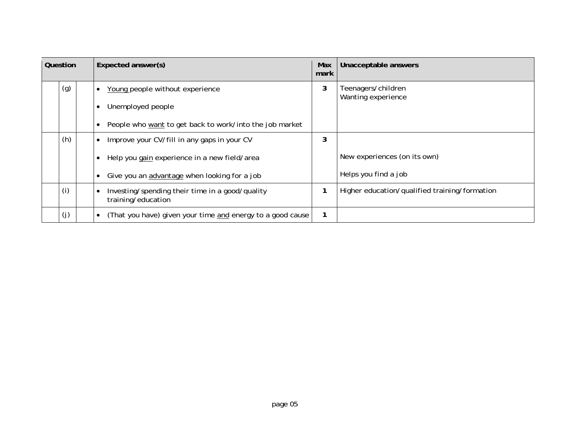| Question |     | Expected answer(s)                                                                 | Max<br>mark | Unacceptable answers                          |
|----------|-----|------------------------------------------------------------------------------------|-------------|-----------------------------------------------|
|          | (g) | Young people without experience                                                    | 3           | Teenagers/children<br>Wanting experience      |
|          |     | Unemployed people                                                                  |             |                                               |
|          |     | People who want to get back to work/into the job market                            |             |                                               |
|          | (h) | Improve your CV/fill in any gaps in your CV                                        | 3           |                                               |
|          |     | Help you gain experience in a new field/area                                       |             | New experiences (on its own)                  |
|          |     | Give you an advantage when looking for a job                                       |             | Helps you find a job                          |
|          | (i) | Investing/spending their time in a good/quality<br>$\bullet$<br>training/education |             | Higher education/qualified training/formation |
|          | (j) | (That you have) given your time and energy to a good cause                         |             |                                               |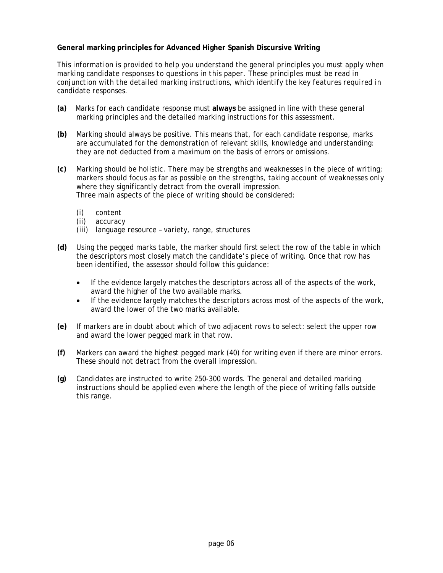### **General marking principles for Advanced Higher Spanish Discursive Writing**

*This information is provided to help you understand the general principles you must apply when marking candidate responses to questions in this paper. These principles must be read in conjunction with the detailed marking instructions, which identify the key features required in candidate responses.* 

- **(a)** Marks for each candidate response must **always** be assigned in line with these general marking principles and the detailed marking instructions for this assessment.
- **(b)** Marking should always be positive. This means that, for each candidate response, marks are accumulated for the demonstration of relevant skills, knowledge and understanding: they are not deducted from a maximum on the basis of errors or omissions.
- **(c)** Marking should be holistic. There may be strengths and weaknesses in the piece of writing; markers should focus as far as possible on the strengths, taking account of weaknesses only where they significantly detract from the overall impression. Three main aspects of the piece of writing should be considered:
	- (i) content
	- (ii) accuracy
	- (iii) language resource variety, range, structures
- **(d)** Using the pegged marks table, the marker should first select the row of the table in which the descriptors most closely match the candidate's piece of writing. Once that row has been identified, the assessor should follow this guidance:
	- If the evidence largely matches the descriptors across all of the aspects of the work, award the higher of the two available marks.
	- If the evidence largely matches the descriptors across most of the aspects of the work, award the lower of the two marks available.
- **(e)** If markers are in doubt about which of two adjacent rows to select: select the upper row and award the lower pegged mark in that row.
- **(f)** Markers can award the highest pegged mark (40) for writing even if there are minor errors. These should not detract from the overall impression.
- **(g)** Candidates are instructed to write 250-300 words. The general and detailed marking instructions should be applied even where the length of the piece of writing falls outside this range.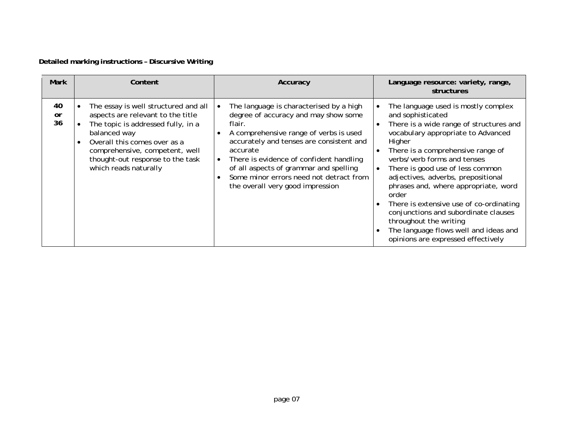## **Detailed marking instructions – Discursive Writing**

| <b>Mark</b>    | Content                                                                                                                                                                                                                                                        | Accuracy                                                                                                                                                                                                                                                                                                                                                        | Language resource: variety, range,<br>structures                                                                                                                                                                                                                                                                                                                                                                                                                                                                                               |
|----------------|----------------------------------------------------------------------------------------------------------------------------------------------------------------------------------------------------------------------------------------------------------------|-----------------------------------------------------------------------------------------------------------------------------------------------------------------------------------------------------------------------------------------------------------------------------------------------------------------------------------------------------------------|------------------------------------------------------------------------------------------------------------------------------------------------------------------------------------------------------------------------------------------------------------------------------------------------------------------------------------------------------------------------------------------------------------------------------------------------------------------------------------------------------------------------------------------------|
| 40<br>or<br>36 | The essay is well structured and all<br>aspects are relevant to the title<br>The topic is addressed fully, in a<br>balanced way<br>Overall this comes over as a<br>comprehensive, competent, well<br>thought-out response to the task<br>which reads naturally | The language is characterised by a high<br>degree of accuracy and may show some<br>flair.<br>A comprehensive range of verbs is used<br>accurately and tenses are consistent and<br>accurate<br>There is evidence of confident handling<br>of all aspects of grammar and spelling<br>Some minor errors need not detract from<br>the overall very good impression | The language used is mostly complex<br>and sophisticated<br>There is a wide range of structures and<br>vocabulary appropriate to Advanced<br>Higher<br>There is a comprehensive range of<br>verbs/verb forms and tenses<br>There is good use of less common<br>adjectives, adverbs, prepositional<br>phrases and, where appropriate, word<br>order<br>There is extensive use of co-ordinating<br>conjunctions and subordinate clauses<br>throughout the writing<br>The language flows well and ideas and<br>opinions are expressed effectively |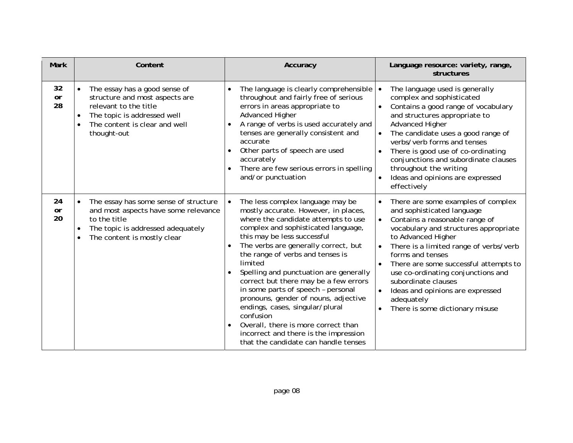| <b>Mark</b>           | Content                                                                                                                                                                        | Accuracy                                                                                                                                                                                                                                                                                                                                                                                                                                                                                                                                                                                                                           | Language resource: variety, range,<br>structures                                                                                                                                                                                                                                                                                                                                                                                                                                            |
|-----------------------|--------------------------------------------------------------------------------------------------------------------------------------------------------------------------------|------------------------------------------------------------------------------------------------------------------------------------------------------------------------------------------------------------------------------------------------------------------------------------------------------------------------------------------------------------------------------------------------------------------------------------------------------------------------------------------------------------------------------------------------------------------------------------------------------------------------------------|---------------------------------------------------------------------------------------------------------------------------------------------------------------------------------------------------------------------------------------------------------------------------------------------------------------------------------------------------------------------------------------------------------------------------------------------------------------------------------------------|
| 32<br><b>or</b><br>28 | The essay has a good sense of<br>structure and most aspects are<br>relevant to the title<br>The topic is addressed well<br>The content is clear and well<br>thought-out        | The language is clearly comprehensible<br>throughout and fairly free of serious<br>errors in areas appropriate to<br><b>Advanced Higher</b><br>A range of verbs is used accurately and<br>tenses are generally consistent and<br>accurate<br>Other parts of speech are used<br>accurately<br>There are few serious errors in spelling<br>and/or punctuation                                                                                                                                                                                                                                                                        | The language used is generally<br>$\bullet$<br>complex and sophisticated<br>Contains a good range of vocabulary<br>and structures appropriate to<br><b>Advanced Higher</b><br>The candidate uses a good range of<br>$\bullet$<br>verbs/verb forms and tenses<br>There is good use of co-ordinating<br>conjunctions and subordinate clauses<br>throughout the writing<br>Ideas and opinions are expressed<br>effectively                                                                     |
| 24<br><b>or</b><br>20 | The essay has some sense of structure<br>and most aspects have some relevance<br>to the title<br>The topic is addressed adequately<br>$\bullet$<br>The content is mostly clear | The less complex language may be<br>$\bullet$<br>mostly accurate. However, in places,<br>where the candidate attempts to use<br>complex and sophisticated language,<br>this may be less successful<br>The verbs are generally correct, but<br>the range of verbs and tenses is<br>limited<br>Spelling and punctuation are generally<br>correct but there may be a few errors<br>in some parts of speech - personal<br>pronouns, gender of nouns, adjective<br>endings, cases, singular/plural<br>confusion<br>Overall, there is more correct than<br>incorrect and there is the impression<br>that the candidate can handle tenses | There are some examples of complex<br>$\bullet$<br>and sophisticated language<br>Contains a reasonable range of<br>$\bullet$<br>vocabulary and structures appropriate<br>to Advanced Higher<br>There is a limited range of verbs/verb<br>$\bullet$<br>forms and tenses<br>There are some successful attempts to<br>use co-ordinating conjunctions and<br>subordinate clauses<br>Ideas and opinions are expressed<br>$\bullet$<br>adequately<br>There is some dictionary misuse<br>$\bullet$ |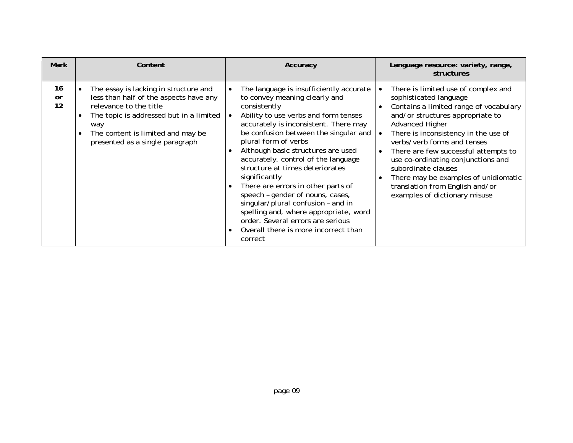| <b>Mark</b>    | Content                                                                                                                                                                                                                             | Accuracy                                                                                                                                                                                                                                                                                                                                                                                                                                                                                                                                                                                                                     | Language resource: variety, range,<br>structures                                                                                                                                                                                                                                                                                                                                                                                                                    |
|----------------|-------------------------------------------------------------------------------------------------------------------------------------------------------------------------------------------------------------------------------------|------------------------------------------------------------------------------------------------------------------------------------------------------------------------------------------------------------------------------------------------------------------------------------------------------------------------------------------------------------------------------------------------------------------------------------------------------------------------------------------------------------------------------------------------------------------------------------------------------------------------------|---------------------------------------------------------------------------------------------------------------------------------------------------------------------------------------------------------------------------------------------------------------------------------------------------------------------------------------------------------------------------------------------------------------------------------------------------------------------|
| 16<br>or<br>12 | The essay is lacking in structure and<br>less than half of the aspects have any<br>relevance to the title<br>The topic is addressed but in a limited<br>way<br>The content is limited and may be<br>presented as a single paragraph | The language is insufficiently accurate<br>to convey meaning clearly and<br>consistently<br>Ability to use verbs and form tenses<br>accurately is inconsistent. There may<br>be confusion between the singular and<br>plural form of verbs<br>Although basic structures are used<br>accurately, control of the language<br>structure at times deteriorates<br>significantly<br>There are errors in other parts of<br>speech - gender of nouns, cases,<br>singular/plural confusion - and in<br>spelling and, where appropriate, word<br>order. Several errors are serious<br>Overall there is more incorrect than<br>correct | There is limited use of complex and<br>sophisticated language<br>Contains a limited range of vocabulary<br>and/or structures appropriate to<br>Advanced Higher<br>There is inconsistency in the use of<br>$\bullet$<br>verbs/verb forms and tenses<br>There are few successful attempts to<br>use co-ordinating conjunctions and<br>subordinate clauses<br>There may be examples of unidiomatic<br>translation from English and/or<br>examples of dictionary misuse |